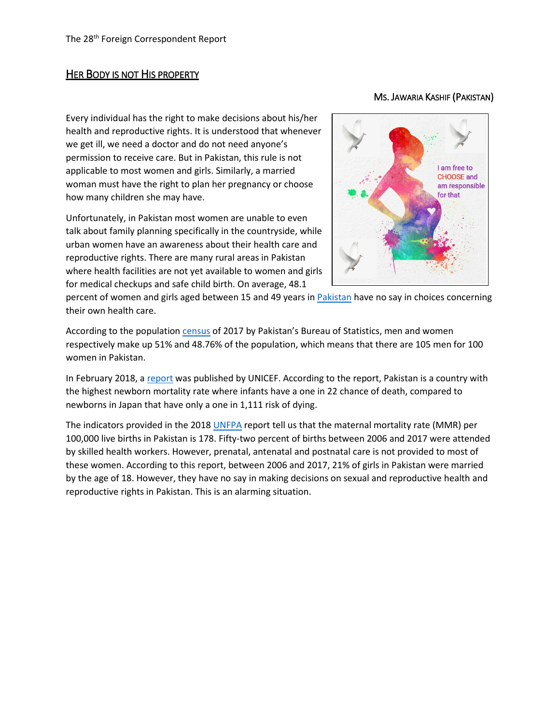## HER BODY IS NOT HIS PROPERTY

## MS. JAWARIA KASHIF (PAKISTAN)

Every individual has the right to make decisions about his/her health and reproductive rights. It is understood that whenever we get ill, we need a doctor and do not need anyone's permission to receive care. But in Pakistan, this rule is not applicable to most women and girls. Similarly, a married woman must have the right to plan her pregnancy or choose how many children she may have.

Unfortunately, in Pakistan most women are unable to even talk about family planning specifically in the countryside, while urban women have an awareness about their health care and reproductive rights. There are many rural areas in Pakistan where health facilities are not yet available to women and girls for medical checkups and safe child birth. On average, 48.1



percent of women and girls aged between 15 and 49 years in **Pakistan** have no say in choices concerning their own health care.

According to the populatio[n census](https://www.samaa.tv/news/2017/08/population-census-2017-men-outnumber-women-pakistan/) of 2017 by Pakistan's Bureau of Statistics, men and women respectively make up 51% and 48.76% of the population, which means that there are 105 men for 100 women in Pakistan.

In February 2018, a [report](https://tribune.com.pk/story/1639445/3-babies-born-poorest-countries-still-face-alarming-risks-unicef/) was published by UNICEF. According to the report, Pakistan is a country with the highest newborn mortality rate where infants have a one in 22 chance of death, compared to newborns in Japan that have only a one in 1,111 risk of dying.

The indicators provided in the 2018 [UNFPA](https://www.unfpa.org/swop-2018#!/Section-3) report tell us that the maternal mortality rate (MMR) per 100,000 live births in Pakistan is 178. Fifty-two percent of births between 2006 and 2017 were attended by skilled health workers. However, prenatal, antenatal and postnatal care is not provided to most of these women. According to this report, between 2006 and 2017, 21% of girls in Pakistan were married by the age of 18. However, they have no say in making decisions on sexual and reproductive health and reproductive rights in Pakistan. This is an alarming situation.